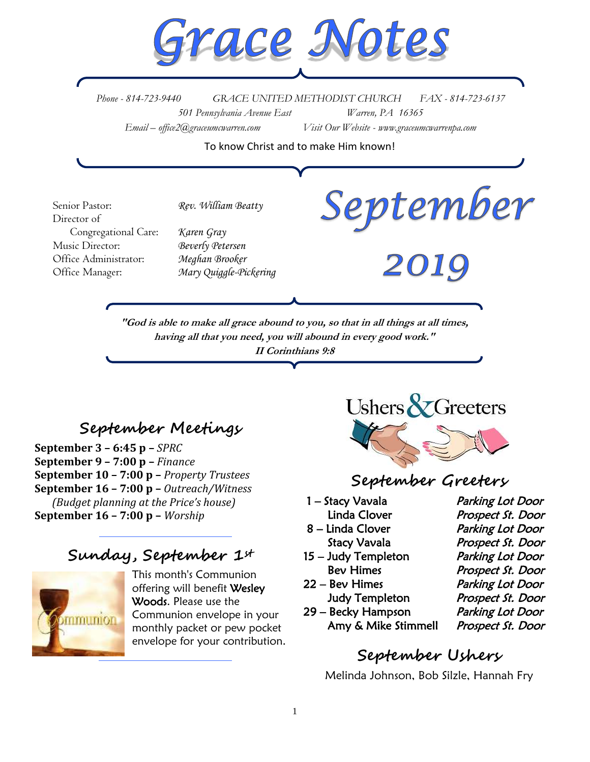

*Phone - 814-723-9440 GRACE UNITED METHODIST CHURCH FAX - 814-723-6137 501 Pennsylvania Avenue East Warren, PA 16365 Email – office2@graceumcwarren.com Visit Our Website - www.graceumcwarrenpa.com* 

To know Christ and to make Him known!

September Senior Pastor: *Rev. William Beatty* Director of Congregational Care: *Karen Gray* Music Director: *Beverly Petersen* Office Administrator: *Meghan Brooker* 2019 Office Manager: *Mary Quiggle-Pickering***"God is able to make all grace abound to you, so that in all things at all times, having all that you need, you will abound in every good work." II Corinthians 9:8**

# **September Meetings**

**September 3 – 6:45 p –** *SPRC* **September 9 – 7:00 p –** *Finance* **September 10 – 7:00 p –** *Property Trustees* **September 16 – 7:00 p –** *Outreach/Witness (Budget planning at the Price's house)* **September 16 – 7:00 p –** *Worship*

# **Sunday, September 1st**



This month's Communion offering will benefit Wesley Woods. Please use the Communion envelope in your monthly packet or pew pocket envelope for your contribution.



# **September Greeters**

- 1 Stacy Vavala Parking Lot Door
- 
- 15 Judy Templeton Parking Lot Door
- 
- 29 Becky Hampson Parking Lot Door Amy & Mike Stimmell Prospect St. Door

Linda Clover Prospect St. Door 8 – Linda Clover Parking Lot Door Stacy Vavala **Prospect St. Door** Bev Himes Prospect St. Door 22 – Bev Himes Parking Lot Door Judy Templeton Prospect St. Door

# **September Ushers**

Melinda Johnson, Bob Silzle, Hannah Fry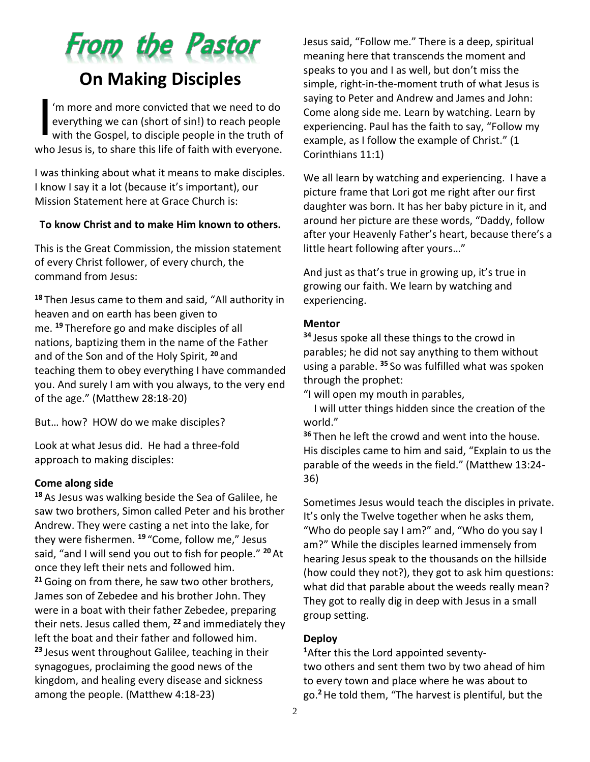

'm more and more convicted that we need to do everything we can (short of sin!) to reach people with the Gospel, to disciple people in the truth of who Jesus is, to share this life of faith with everyone. I

I was thinking about what it means to make disciples. I know I say it a lot (because it's important), our Mission Statement here at Grace Church is:

#### **To know Christ and to make Him known to others.**

This is the Great Commission, the mission statement of every Christ follower, of every church, the command from Jesus:

**<sup>18</sup>** Then Jesus came to them and said, "All authority in heaven and on earth has been given to me. **<sup>19</sup>** Therefore go and make disciples of all nations, baptizing them in the name of the Father and of the Son and of the Holy Spirit, **<sup>20</sup>** and teaching them to obey everything I have commanded you. And surely I am with you always, to the very end of the age." (Matthew 28:18-20)

But… how? HOW do we make disciples?

Look at what Jesus did. He had a three-fold approach to making disciples:

#### **Come along side**

**<sup>18</sup>** As Jesus was walking beside the Sea of Galilee, he saw two brothers, Simon called Peter and his brother Andrew. They were casting a net into the lake, for they were fishermen. **<sup>19</sup>** "Come, follow me," Jesus said, "and I will send you out to fish for people." **<sup>20</sup>** At once they left their nets and followed him. **<sup>21</sup>**Going on from there, he saw two other brothers, James son of Zebedee and his brother John. They were in a boat with their father Zebedee, preparing their nets. Jesus called them, **<sup>22</sup>** and immediately they left the boat and their father and followed him. **<sup>23</sup>** Jesus went throughout Galilee, teaching in their synagogues, proclaiming the good news of the kingdom, and healing every disease and sickness among the people. (Matthew 4:18-23)

Jesus said, "Follow me." There is a deep, spiritual meaning here that transcends the moment and speaks to you and I as well, but don't miss the simple, right-in-the-moment truth of what Jesus is saying to Peter and Andrew and James and John: Come along side me. Learn by watching. Learn by experiencing. Paul has the faith to say, "Follow my example, as I follow the example of Christ." (1 Corinthians 11:1)

We all learn by watching and experiencing. I have a picture frame that Lori got me right after our first daughter was born. It has her baby picture in it, and around her picture are these words, "Daddy, follow after your Heavenly Father's heart, because there's a little heart following after yours…"

And just as that's true in growing up, it's true in growing our faith. We learn by watching and experiencing.

#### **Mentor**

**<sup>34</sup>** Jesus spoke all these things to the crowd in parables; he did not say anything to them without using a parable. **<sup>35</sup>** So was fulfilled what was spoken through the prophet:

"I will open my mouth in parables,

 I will utter things hidden since the creation of the world."

**<sup>36</sup>** Then he left the crowd and went into the house. His disciples came to him and said, "Explain to us the parable of the weeds in the field." (Matthew 13:24- 36)

Sometimes Jesus would teach the disciples in private. It's only the Twelve together when he asks them, "Who do people say I am?" and, "Who do you say I am?" While the disciples learned immensely from hearing Jesus speak to the thousands on the hillside (how could they not?), they got to ask him questions: what did that parable about the weeds really mean? They got to really dig in deep with Jesus in a small group setting.

#### **Deploy**

**<sup>1</sup>**After this the Lord appointed seventytwo others and sent them two by two ahead of him to every town and place where he was about to go.**<sup>2</sup>**He told them, "The harvest is plentiful, but the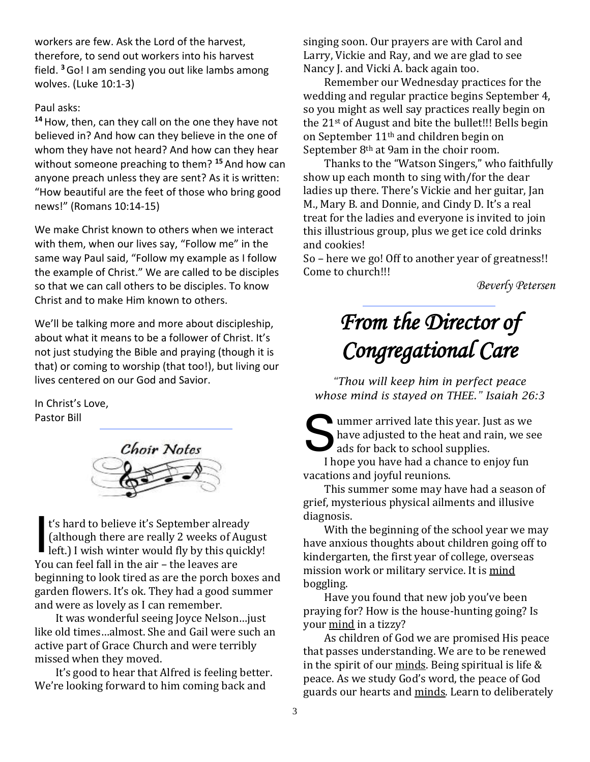workers are few. Ask the Lord of the harvest, therefore, to send out workers into his harvest field. **<sup>3</sup>**Go! I am sending you out like lambs among wolves. (Luke 10:1-3)

#### Paul asks:

**<sup>14</sup>**How, then, can they call on the one they have not believed in? And how can they believe in the one of whom they have not heard? And how can they hear without someone preaching to them? **<sup>15</sup>** And how can anyone preach unless they are sent? As it is written: "How beautiful are the feet of those who bring good news!" (Romans 10:14-15)

We make Christ known to others when we interact with them, when our lives say, "Follow me" in the same way Paul said, "Follow my example as I follow the example of Christ." We are called to be disciples so that we can call others to be disciples. To know Christ and to make Him known to others.

We'll be talking more and more about discipleship, about what it means to be a follower of Christ. It's not just studying the Bible and praying (though it is that) or coming to worship (that too!), but living our lives centered on our God and Savior.

In Christ's Love, Pastor Bill



t's hard to believe it's September already (although there are really 2 weeks of August left.) I wish winter would fly by this quickly! You can feel fall in the air – the leaves are beginning to look tired as are the porch boxes and garden flowers. It's ok. They had a good summer and were as lovely as I can remember. I

It was wonderful seeing Joyce Nelson…just like old times…almost. She and Gail were such an active part of Grace Church and were terribly missed when they moved.

It's good to hear that Alfred is feeling better. We're looking forward to him coming back and

singing soon. Our prayers are with Carol and Larry, Vickie and Ray, and we are glad to see Nancy J. and Vicki A. back again too.

Remember our Wednesday practices for the wedding and regular practice begins September 4, so you might as well say practices really begin on the 21st of August and bite the bullet!!! Bells begin on September 11th and children begin on September 8th at 9am in the choir room.

Thanks to the "Watson Singers," who faithfully show up each month to sing with/for the dear ladies up there. There's Vickie and her guitar, Jan M., Mary B. and Donnie, and Cindy D. It's a real treat for the ladies and everyone is invited to join this illustrious group, plus we get ice cold drinks and cookies!

So – here we go! Off to another year of greatness!! Come to church!!!

*Beverly Petersen*

# *From the Director of Congregational Care*

*"Thou will keep him in perfect peace whose mind is stayed on THEE." Isaiah 26:3*

ummer arrived late this year. Just as we have adjusted to the heat and rain, we set ads for back to school supplies. have adjusted to the heat and rain, we see ads for back to school supplies.

I hope you have had a chance to enjoy fun vacations and joyful reunions.

This summer some may have had a season of grief, mysterious physical ailments and illusive diagnosis.

With the beginning of the school year we may have anxious thoughts about children going off to kindergarten, the first year of college, overseas mission work or military service. It is mind boggling.

Have you found that new job you've been praying for? How is the house-hunting going? Is your mind in a tizzy?

As children of God we are promised His peace that passes understanding. We are to be renewed in the spirit of our minds. Being spiritual is life & peace. As we study God's word, the peace of God guards our hearts and minds. Learn to deliberately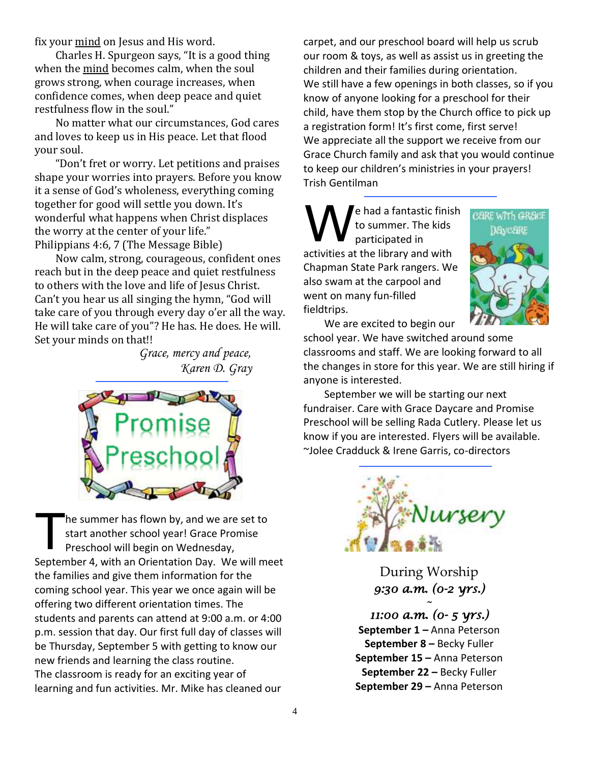fix your mind on Jesus and His word.

Charles H. Spurgeon says, "It is a good thing when the mind becomes calm, when the soul grows strong, when courage increases, when confidence comes, when deep peace and quiet restfulness flow in the soul."

No matter what our circumstances, God cares and loves to keep us in His peace. Let that flood your soul.

"Don't fret or worry. Let petitions and praises shape your worries into prayers. Before you know it a sense of God's wholeness, everything coming together for good will settle you down. It's wonderful what happens when Christ displaces the worry at the center of your life." Philippians 4:6, 7 (The Message Bible)

Now calm, strong, courageous, confident ones reach but in the deep peace and quiet restfulness to others with the love and life of Jesus Christ. Can't you hear us all singing the hymn, "God will take care of you through every day o'er all the way. He will take care of you"? He has. He does. He will. Set your minds on that!!

> *Grace, mercy and peace, Karen D. Gray*



he summer has flown by, and we are set to start another school year! Grace Promise Preschool will begin on Wednesday, September 4, with an Orientation Day. We will meet the families and give them information for the coming school year. This year we once again will be offering two different orientation times. The students and parents can attend at 9:00 a.m. or 4:00 p.m. session that day. Our first full day of classes will be Thursday, September 5 with getting to know our new friends and learning the class routine. The classroom is ready for an exciting year of learning and fun activities. Mr. Mike has cleaned our T

carpet, and our preschool board will help us scrub our room & toys, as well as assist us in greeting the children and their families during orientation. We still have a few openings in both classes, so if you know of anyone looking for a preschool for their child, have them stop by the Church office to pick up a registration form! It's first come, first serve! We appreciate all the support we receive from our Grace Church family and ask that you would continue to keep our children's ministries in your prayers! Trish Gentilman

e had a fantastic finish to summer. The kids participated in activities at the library and with Chapman State Park rangers. We also swam at the carpool and went on many fun-filled fieldtrips. W



We are excited to begin our

school year. We have switched around some classrooms and staff. We are looking forward to all the changes in store for this year. We are still hiring if anyone is interested.

September we will be starting our next fundraiser. Care with Grace Daycare and Promise Preschool will be selling Rada Cutlery. Please let us know if you are interested. Flyers will be available. ~Jolee Cradduck & Irene Garris, co-directors



During Worship *9:30 a.m. (0-2 yrs.)* 

*~* 

# *11:00 a.m. (0- 5 yrs.)*  **September 1** *–* Anna Peterson **September 8 –** Becky Fuller **September 15 –** Anna Peterson **September 22 –** Becky Fuller **September 29 –** Anna Peterson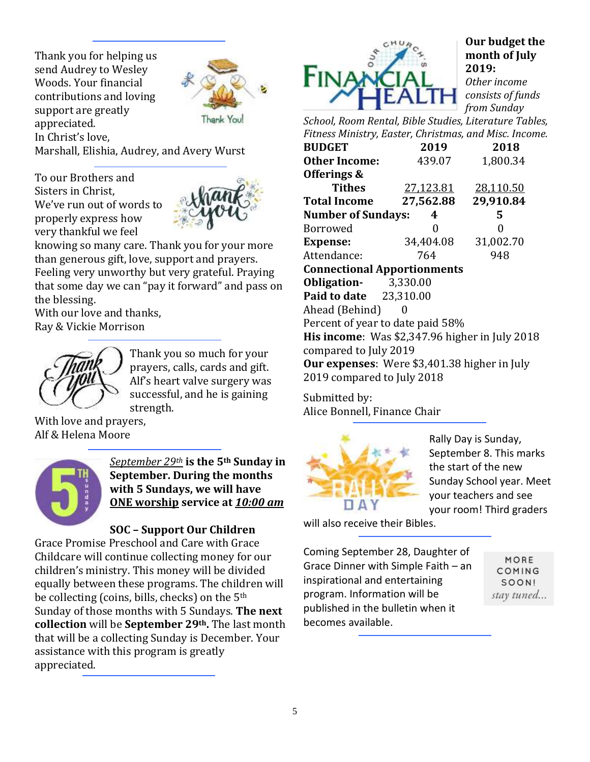Thank you for helping us send Audrey to Wesley Woods. Your financial contributions and loving support are greatly appreciated. In Christ's love,



Thank

Marshall, Elishia, Audrey, and Avery Wurst

To our Brothers and Sisters in Christ, We've run out of words to properly express how very thankful we feel



knowing so many care. Thank you for your more than generous gift, love, support and prayers. Feeling very unworthy but very grateful. Praying that some day we can "pay it forward" and pass on the blessing.

With our love and thanks, Ray & Vickie Morrison



Thank you so much for your prayers, calls, cards and gift. Alf's heart valve surgery was successful, and he is gaining strength.

With love and prayers, Alf & Helena Moore



*September 29th* **is the 5th Sunday in September. During the months with 5 Sundays, we will have ONE worship service at** *10:00 am*

# **SOC – Support Our Children**

Grace Promise Preschool and Care with Grace Childcare will continue collecting money for our children's ministry. This money will be divided equally between these programs. The children will be collecting (coins, bills, checks) on the 5th Sunday of those months with 5 Sundays. **The next collection** will be **September 29th.** The last month that will be a collecting Sunday is December. Your assistance with this program is greatly appreciated.



# **Our budget the month of July 2019:**

*Other income consists of funds from Sunday* 

*School, Room Rental, Bible Studies, Literature Tables, Fitness Ministry, Easter, Christmas, and Misc. Income.*

| <b>BUDGET</b>                                  | 2019      | 2018      |  |  |  |  |  |
|------------------------------------------------|-----------|-----------|--|--|--|--|--|
| <b>Other Income:</b>                           | 439.07    | 1,800.34  |  |  |  |  |  |
| Offerings &                                    |           |           |  |  |  |  |  |
| <b>Tithes</b>                                  | 27,123.81 | 28,110.50 |  |  |  |  |  |
| <b>Total Income</b>                            | 27,562.88 | 29,910.84 |  |  |  |  |  |
| <b>Number of Sundays:</b>                      | 4         | 5         |  |  |  |  |  |
| <b>Borrowed</b>                                | 0         | 0         |  |  |  |  |  |
| <b>Expense:</b>                                | 34,404.08 | 31,002.70 |  |  |  |  |  |
| Attendance:                                    | 764       | 948       |  |  |  |  |  |
| <b>Connectional Apportionments</b>             |           |           |  |  |  |  |  |
| <b>Obligation-</b> 3,330.00                    |           |           |  |  |  |  |  |
| <b>Paid to date</b> 23,310.00                  |           |           |  |  |  |  |  |
| Ahead (Behind)                                 | 0         |           |  |  |  |  |  |
| Percent of year to date paid 58%               |           |           |  |  |  |  |  |
| His income: Was \$2,347.96 higher in July 2018 |           |           |  |  |  |  |  |
| compared to July 2019                          |           |           |  |  |  |  |  |
| Our expenses: Were \$3,401.38 higher in July   |           |           |  |  |  |  |  |
| 2019 compared to July 2018                     |           |           |  |  |  |  |  |

Submitted by: Alice Bonnell, Finance Chair



Rally Day is Sunday, September 8. This marks the start of the new Sunday School year. Meet your teachers and see your room! Third graders

will also receive their Bibles.

Coming September 28, Daughter of Grace Dinner with Simple Faith – an inspirational and entertaining program. Information will be published in the bulletin when it becomes available.

MORE COMING SOON! stay tuned...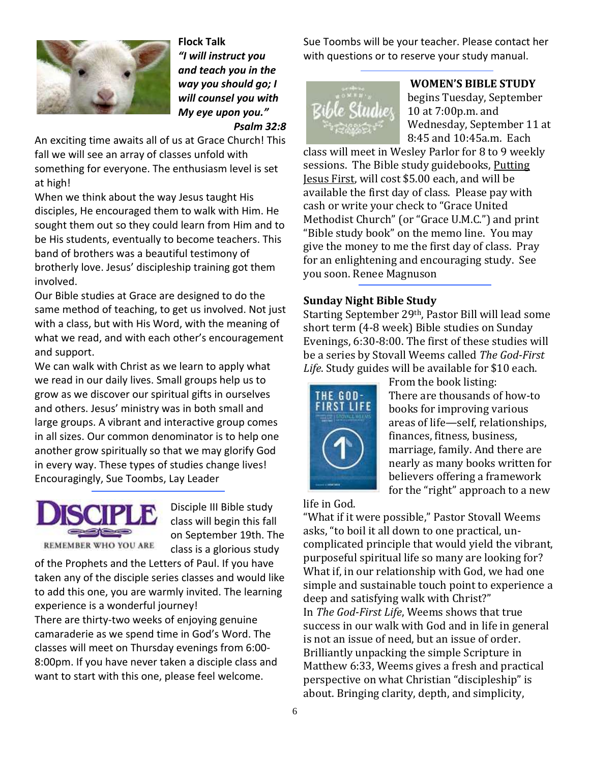

**Flock Talk** *"I will instruct you and teach you in the way you should go; I will counsel you with My eye upon you." Psalm 32:8*

An exciting time awaits all of us at Grace Church! This fall we will see an array of classes unfold with something for everyone. The enthusiasm level is set at high!

When we think about the way Jesus taught His disciples, He encouraged them to walk with Him. He sought them out so they could learn from Him and to be His students, eventually to become teachers. This band of brothers was a beautiful testimony of brotherly love. Jesus' discipleship training got them involved.

Our Bible studies at Grace are designed to do the same method of teaching, to get us involved. Not just with a class, but with His Word, with the meaning of what we read, and with each other's encouragement and support.

We can walk with Christ as we learn to apply what we read in our daily lives. Small groups help us to grow as we discover our spiritual gifts in ourselves and others. Jesus' ministry was in both small and large groups. A vibrant and interactive group comes in all sizes. Our common denominator is to help one another grow spiritually so that we may glorify God in every way. These types of studies change lives! Encouragingly, Sue Toombs, Lay Leader



Disciple III Bible study class will begin this fall on September 19th. The class is a glorious study

of the Prophets and the Letters of Paul. If you have taken any of the disciple series classes and would like to add this one, you are warmly invited. The learning experience is a wonderful journey!

There are thirty-two weeks of enjoying genuine camaraderie as we spend time in God's Word. The classes will meet on Thursday evenings from 6:00- 8:00pm. If you have never taken a disciple class and want to start with this one, please feel welcome.

Sue Toombs will be your teacher. Please contact her with questions or to reserve your study manual.



**WOMEN'S BIBLE STUDY** begins Tuesday, September 10 at 7:00p.m. and Wednesday, September 11 at 8:45 and 10:45a.m. Each

class will meet in Wesley Parlor for 8 to 9 weekly sessions. The Bible study guidebooks, Putting Jesus First, will cost \$5.00 each, and will be available the first day of class. Please pay with cash or write your check to "Grace United Methodist Church" (or "Grace U.M.C.") and print "Bible study book" on the memo line. You may give the money to me the first day of class. Pray for an enlightening and encouraging study. See you soon. Renee Magnuson

### **Sunday Night Bible Study**

Starting September 29th, Pastor Bill will lead some short term (4-8 week) Bible studies on Sunday Evenings, 6:30-8:00. The first of these studies will be a series by Stovall Weems called *The God-First Life*. Study guides will be available for \$10 each.



From the book listing: There are thousands of how-to books for improving various areas of life—self, relationships, finances, fitness, business, marriage, family. And there are nearly as many books written for believers offering a framework for the "right" approach to a new

life in God.

"What if it were possible," Pastor Stovall Weems asks, "to boil it all down to one practical, uncomplicated principle that would yield the vibrant, purposeful spiritual life so many are looking for? What if, in our relationship with God, we had one simple and sustainable touch point to experience a deep and satisfying walk with Christ?" In *The God-First Life*, Weems shows that true success in our walk with God and in life in general is not an issue of need, but an issue of order. Brilliantly unpacking the simple Scripture in Matthew 6:33, Weems gives a fresh and practical perspective on what Christian "discipleship" is about. Bringing clarity, depth, and simplicity,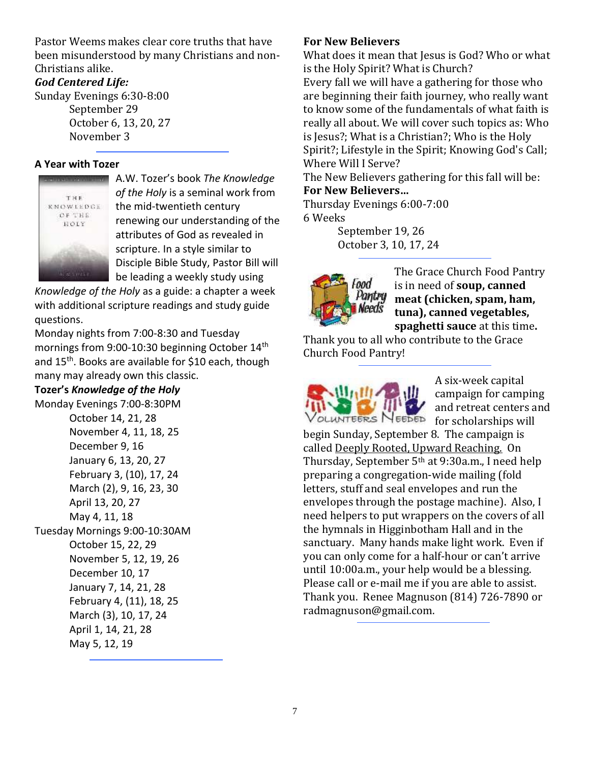Pastor Weems makes clear core truths that have been misunderstood by many Christians and non-Christians alike.

# *God Centered Life:*

Sunday Evenings 6:30-8:00 September 29 October 6, 13, 20, 27 November 3

## **A Year with Tozer**



A.W. Tozer's book *The Knowledge of the Holy* is a seminal work from the mid-twentieth century renewing our understanding of the attributes of God as revealed in scripture. In a style similar to Disciple Bible Study, Pastor Bill will be leading a weekly study using

*Knowledge of the Holy* as a guide: a chapter a week with additional scripture readings and study guide questions.

Monday nights from 7:00-8:30 and Tuesday mornings from 9:00-10:30 beginning October 14<sup>th</sup> and 15<sup>th</sup>. Books are available for \$10 each, though many may already own this classic.

## **Tozer's** *Knowledge of the Holy*

Monday Evenings 7:00-8:30PM October 14, 21, 28 November 4, 11, 18, 25 December 9, 16 January 6, 13, 20, 27 February 3, (10), 17, 24 March (2), 9, 16, 23, 30 April 13, 20, 27 May 4, 11, 18 Tuesday Mornings 9:00-10:30AM October 15, 22, 29 November 5, 12, 19, 26 December 10, 17 January 7, 14, 21, 28 February 4, (11), 18, 25 March (3), 10, 17, 24 April 1, 14, 21, 28 May 5, 12, 19

## **For New Believers**

What does it mean that Jesus is God? Who or what is the Holy Spirit? What is Church? Every fall we will have a gathering for those who are beginning their faith journey, who really want to know some of the fundamentals of what faith is really all about. We will cover such topics as: Who is Jesus?; What is a Christian?; Who is the Holy Spirit?; Lifestyle in the Spirit; Knowing God's Call; Where Will I Serve?

The New Believers gathering for this fall will be: **For New Believers…**

Thursday Evenings 6:00-7:00 6 Weeks

> September 19, 26 October 3, 10, 17, 24



The Grace Church Food Pantry is in need of **soup, canned meat (chicken, spam, ham, tuna), canned vegetables, spaghetti sauce** at this time**.**

Thank you to all who contribute to the Grace Church Food Pantry!



A six-week capital campaign for camping and retreat centers and

begin Sunday, September 8. The campaign is called Deeply Rooted, Upward Reaching. On Thursday, September 5th at 9:30a.m., I need help preparing a congregation-wide mailing (fold letters, stuff and seal envelopes and run the envelopes through the postage machine). Also, I need helpers to put wrappers on the covers of all the hymnals in Higginbotham Hall and in the sanctuary. Many hands make light work. Even if you can only come for a half-hour or can't arrive until 10:00a.m., your help would be a blessing. Please call or e-mail me if you are able to assist. Thank you. Renee Magnuson (814) 726-7890 or radmagnuson@gmail.com.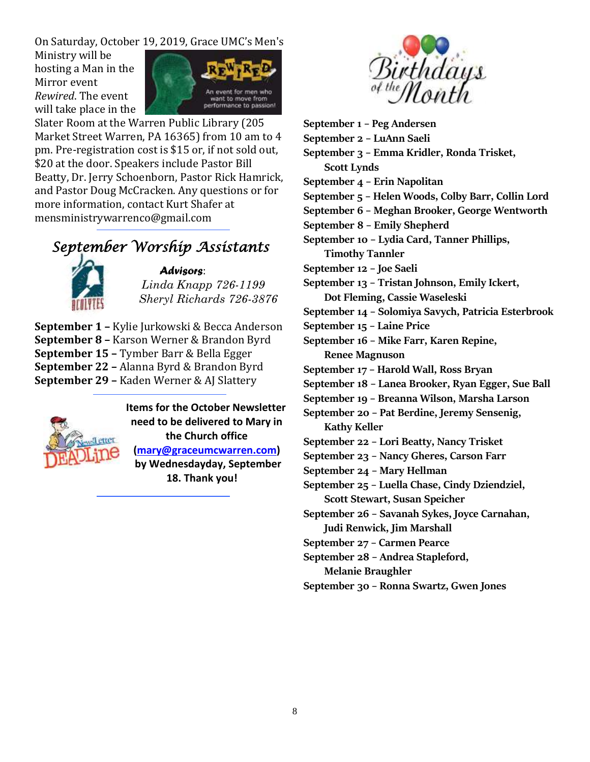On Saturday, October 19, 2019, Grace UMC's Men's

Ministry will be hosting a Man in the Mirror event *Rewired*. The event will take place in the



Slater Room at the Warren Public Library (205 Market Street Warren, PA 16365) from 10 am to 4 pm. Pre-registration cost is \$15 or, if not sold out, \$20 at the door. Speakers include Pastor Bill Beatty, Dr. Jerry Schoenborn, Pastor Rick Hamrick, and Pastor Doug McCracken. Any questions or for more information, contact Kurt Shafer at mensministrywarrenco@gmail.com

# *September Worship Assistants*



*Advisors*:

 *Linda Knapp 726-1199 Sheryl Richards 726-3876*

**September 1 –** Kylie Jurkowski & Becca Anderson **September 8 –** Karson Werner & Brandon Byrd **September 15 –** Tymber Barr & Bella Egger **September 22 –** Alanna Byrd & Brandon Byrd **September 29 –** Kaden Werner & AJ Slattery



 **Items for the October Newsletter need to be delivered to Mary in the Church office [\(mary@graceumcwarren.com\)](mailto:mary@graceumcwarren.com) by Wednesdayday, September**

**18. Thank you!**



- **September 1 – Peg Andersen**
- **September 2 – LuAnn Saeli**
- **September 3 – Emma Kridler, Ronda Trisket, Scott Lynds**
- **September 4 – Erin Napolitan**
- **September 5 – Helen Woods, Colby Barr, Collin Lord**
- **September 6 – Meghan Brooker, George Wentworth**
- **September 8 – Emily Shepherd**

**September 10 – Lydia Card, Tanner Phillips, Timothy Tannler**

- **September 12 – Joe Saeli**
- **September 13 – Tristan Johnson, Emily Ickert,**
- **Dot Fleming, Cassie Waseleski**
- **September 14 – Solomiya Savych, Patricia Esterbrook**
- **September 15 – Laine Price**
- **September 16 – Mike Farr, Karen Repine, Renee Magnuson**
- **September 17 – Harold Wall, Ross Bryan**
- **September 18 – Lanea Brooker, Ryan Egger, Sue Ball**
- **September 19 – Breanna Wilson, Marsha Larson**
- **September 20 – Pat Berdine, Jeremy Sensenig, Kathy Keller**
- **September 22 – Lori Beatty, Nancy Trisket**
- **September 23 – Nancy Gheres, Carson Farr**
- **September 24 – Mary Hellman**
- **September 25 – Luella Chase, Cindy Dziendziel, Scott Stewart, Susan Speicher**
- **September 26 – Savanah Sykes, Joyce Carnahan, Judi Renwick, Jim Marshall**
- **September 27 – Carmen Pearce**

**September 28 – Andrea Stapleford,** 

**Melanie Braughler**

**September 30 – Ronna Swartz, Gwen Jones**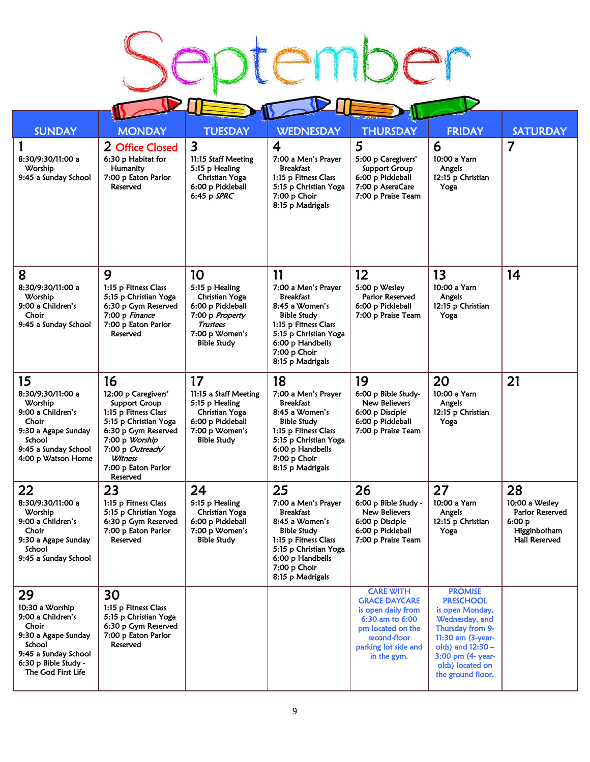Ŝ

| <b>SUNDAY</b>                                                                                                                                              | <b>MONDAY</b>                                                                                                                                                                                                 | <b>TUESDAY</b>                                                                                                                            | <b>WEDNESDAY</b>                                                                                                                                                                               | <b>THURSDAY</b>                                                                                                                                               | <b>FRIDAY</b>                                                                                                                                                                                       | <b>SATURDAY</b>                                                                           |
|------------------------------------------------------------------------------------------------------------------------------------------------------------|---------------------------------------------------------------------------------------------------------------------------------------------------------------------------------------------------------------|-------------------------------------------------------------------------------------------------------------------------------------------|------------------------------------------------------------------------------------------------------------------------------------------------------------------------------------------------|---------------------------------------------------------------------------------------------------------------------------------------------------------------|-----------------------------------------------------------------------------------------------------------------------------------------------------------------------------------------------------|-------------------------------------------------------------------------------------------|
| 8:30/9:30/11:00 a<br>Worship<br>9:45 a Sunday School                                                                                                       | 2 Office Closed<br>6:30 p Habitat for<br>Humanity<br>7:00 p Eaton Parlor<br>Reserved                                                                                                                          | 3<br>11:15 Staff Meeting<br>5:15 p Healing<br><b>Christian Yoga</b><br>6:00 p Pickleball<br>6:45 p SPRC                                   | $\overline{4}$<br>7:00 a Men's Prayer<br><b>Breakfast</b><br>1:15 p Fitness Class<br>5:15 p Christian Yoga<br>7:00 p Choir<br>8:15 p Madrigals                                                 | 5<br>5:00 p Caregivers'<br><b>Support Group</b><br>6:00 p Pickleball<br>7:00 p AseraCare<br>7:00 p Praise Team                                                | 6<br>10:00 a Yarn<br>Angels<br>12:15 p Christian<br>Yoga                                                                                                                                            | $\overline{7}$                                                                            |
| 8<br>8:30/9:30/11:00 a<br>Worship<br>9:00 a Children's<br>Choir<br>9:45 a Sunday School                                                                    | 9<br>1:15 p Fitness Class<br>5:15 p Christian Yoga<br>6:30 p Gym Reserved<br>7:00 p Finance<br>7:00 p Eaton Parlor<br>Reserved                                                                                | 10<br>5:15 p Healing<br>Christian Yoga<br>6:00 p Pickleball<br>7:00 p Property<br><b>Trustees</b><br>7:00 p Women's<br><b>Bible Study</b> | 11<br>7:00 a Men's Prayer<br><b>Breakfast</b><br>8:45 a Women's<br><b>Bible Study</b><br>1:15 p Fitness Class<br>5:15 p Christian Yoga<br>6:00 p Handbells<br>7:00 p Choir<br>8:15 p Madrigals | 12<br>5:00 p Wesley<br>Parlor Reserved<br>6:00 p Pickleball<br>7:00 p Praise Team                                                                             | 13<br>10:00 a Yarn<br>Angels<br>12:15 p Christian<br>Yoga                                                                                                                                           | 14                                                                                        |
| 15<br>8:30/9:30/11:00 a<br>Worship<br>9:00 a Children's<br>Choir<br>9:30 a Agape Sunday<br>School<br>9:45 a Sunday School<br>4:00 p Watson Home            | 16<br>12:00 p Caregivers'<br><b>Support Group</b><br>1:15 p Fitness Class<br>5:15 p Christian Yoga<br>6:30 p Gym Reserved<br>7:00 p Worship<br>7:00 p Outreach/<br>Witness<br>7:00 p Eaton Parlor<br>Reserved | 17<br>11:15 a Staff Meeting<br>5:15 p Healing<br>Christian Yoga<br>6:00 p Pickleball<br>7:00 p Women's<br><b>Bible Study</b>              | 18<br>7:00 a Men's Prayer<br>Breakfast<br>8:45 a Women's<br><b>Bible Study</b><br>1:15 p Fitness Class<br>5:15 p Christian Yoga<br>6:00 p Handbells<br>7:00 p Choir<br>8:15 p Madrigals        | 19<br>6:00 p Bible Study-<br>New Believers<br>6:00 p Disciple<br>6:00 p Pickleball<br>7:00 p Praise Team                                                      | 20<br>10:00 a Yarn<br>Angels<br>12:15 p Christian<br>Yoga                                                                                                                                           | 21                                                                                        |
| 22<br>8:30/9:30/11:00 a<br>Worship<br>9:00 a Children's<br>Choir<br>9:30 a Agape Sunday<br>School<br>9:45 a Sunday School                                  | 23<br>1:15 p Fitness Class<br>5:15 p Christian Yoga<br>6:30 p Gym Reserved<br>7:00 p Eaton Parlor<br>Reserved                                                                                                 | 24<br>5:15 p Healing<br><b>Christian Yoga</b><br>6:00 p Pickleball<br>7:00 p Women's<br><b>Bible Study</b>                                | 25<br>7:00 a Men's Prayer<br>Breakfast<br>8:45 a Women's<br><b>Bible Study</b><br>1:15 p Fitness Class<br>5:15 p Christian Yoga<br>6:00 p Handbells<br>7:00 p Choir<br>8:15 p Madrigals        | 26<br>6:00 p Bible Study -<br>New Believers<br>6:00 p Disciple<br>6:00 p Pickleball<br>7:00 p Praise Team                                                     | 27<br>10:00 a Yarn<br>Angels<br>12:15 p Christian<br>Yoga                                                                                                                                           | 28<br>10:00 a Wesley<br>Parlor Reserved<br>6:00 p<br>Higginbotham<br><b>Hall Reserved</b> |
| 29<br>10:30 a Worship<br>9:00 a Children's<br>Choir<br>9:30 a Agape Sunday<br>School<br>9:45 a Sunday School<br>6:30 p Bible Study -<br>The God First Life | 30<br>1:15 p Fitness Class<br>5:15 p Christian Yoga<br>6:30 p Gym Reserved<br>7:00 p Eaton Parlor<br>Reserved                                                                                                 |                                                                                                                                           |                                                                                                                                                                                                | <b>CARE WITH</b><br><b>GRACE DAYCARE</b><br>is open daily from<br>6:30 am to 6:00<br>pm located on the<br>second-floor<br>parking lot side and<br>in the gym. | <b>PROMISE</b><br><b>PRESCHOOL</b><br>is open Monday,<br>Wednesday, and<br>Thursday from 9-<br>11:30 am (3-year-<br>olds) and 12:30 -<br>3:00 pm (4- year-<br>olds) located on<br>the ground floor. |                                                                                           |